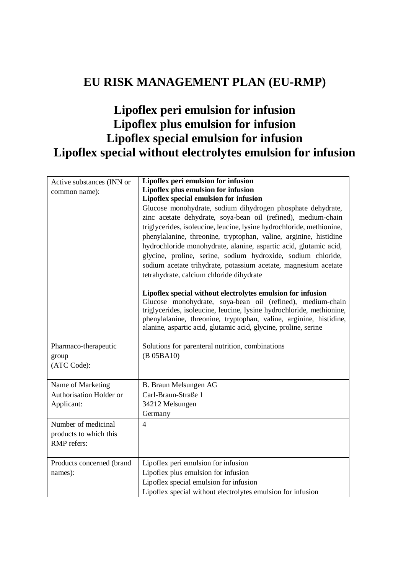# **EU RISK MANAGEMENT PLAN (EU-RMP)**

# **Lipoflex peri emulsion for infusion Lipoflex plus emulsion for infusion Lipoflex special emulsion for infusion Lipoflex special without electrolytes emulsion for infusion**

| Active substances (INN or<br>common name):                   | Lipoflex peri emulsion for infusion<br>Lipoflex plus emulsion for infusion<br>Lipoflex special emulsion for infusion<br>Glucose monohydrate, sodium dihydrogen phosphate dehydrate,<br>zinc acetate dehydrate, soya-bean oil (refined), medium-chain                                                                                                                                           |
|--------------------------------------------------------------|------------------------------------------------------------------------------------------------------------------------------------------------------------------------------------------------------------------------------------------------------------------------------------------------------------------------------------------------------------------------------------------------|
|                                                              | triglycerides, isoleucine, leucine, lysine hydrochloride, methionine,<br>phenylalanine, threonine, tryptophan, valine, arginine, histidine<br>hydrochloride monohydrate, alanine, aspartic acid, glutamic acid,<br>glycine, proline, serine, sodium hydroxide, sodium chloride,<br>sodium acetate trihydrate, potassium acetate, magnesium acetate<br>tetrahydrate, calcium chloride dihydrate |
|                                                              | Lipoflex special without electrolytes emulsion for infusion<br>Glucose monohydrate, soya-bean oil (refined), medium-chain<br>triglycerides, isoleucine, leucine, lysine hydrochloride, methionine,<br>phenylalanine, threonine, tryptophan, valine, arginine, histidine,<br>alanine, aspartic acid, glutamic acid, glycine, proline, serine                                                    |
| Pharmaco-therapeutic<br>group<br>(ATC Code):                 | Solutions for parenteral nutrition, combinations<br>(B 05BA10)                                                                                                                                                                                                                                                                                                                                 |
| Name of Marketing<br>Authorisation Holder or<br>Applicant:   | B. Braun Melsungen AG<br>Carl-Braun-Straße 1<br>34212 Melsungen<br>Germany                                                                                                                                                                                                                                                                                                                     |
| Number of medicinal<br>products to which this<br>RMP refers: | $\overline{4}$                                                                                                                                                                                                                                                                                                                                                                                 |
| Products concerned (brand<br>names):                         | Lipoflex peri emulsion for infusion<br>Lipoflex plus emulsion for infusion<br>Lipoflex special emulsion for infusion<br>Lipoflex special without electrolytes emulsion for infusion                                                                                                                                                                                                            |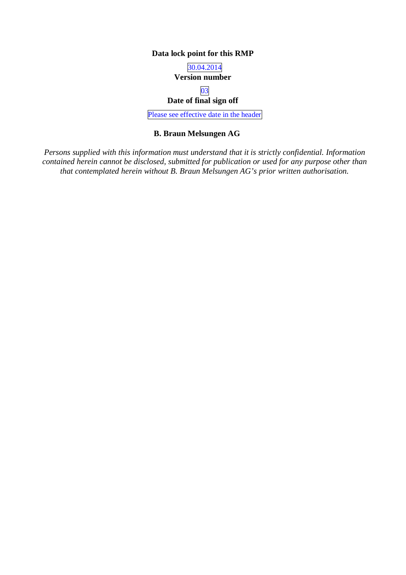## **Data lock point for this RMP**

## 30.04.2014 **Version number**

#### 03 **Date of final sign off**

Please see effective date in the header

#### **B. Braun Melsungen AG**

*Persons supplied with this information must understand that it is strictly confidential. Information contained herein cannot be disclosed, submitted for publication or used for any purpose other than that contemplated herein without B. Braun Melsungen AG's prior written authorisation.*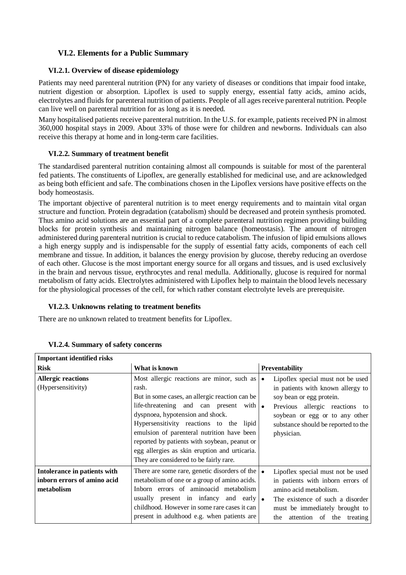## **VI.2. Elements for a Public Summary**

#### **VI.2.1. Overview of disease epidemiology**

Patients may need parenteral nutrition (PN) for any variety of diseases or conditions that impair food intake, nutrient digestion or absorption. Lipoflex is used to supply energy, essential fatty acids, amino acids, electrolytes and fluids for parenteral nutrition of patients. People of all ages receive parenteral nutrition. People can live well on parenteral nutrition for as long as it is needed.

Many hospitalised patients receive parenteral nutrition. In the U.S. for example, patients received PN in almost 360,000 hospital stays in 2009. About 33% of those were for children and newborns. Individuals can also receive this therapy at home and in long-term care facilities.

#### **VI.2.2. Summary of treatment benefit**

The standardised parenteral nutrition containing almost all compounds is suitable for most of the parenteral fed patients. The constituents of Lipoflex, are generally established for medicinal use, and are acknowledged as being both efficient and safe. The combinations chosen in the Lipoflex versions have positive effects on the body homeostasis.

The important objective of parenteral nutrition is to meet energy requirements and to maintain vital organ structure and function. Protein degradation (catabolism) should be decreased and protein synthesis promoted. Thus amino acid solutions are an essential part of a complete parenteral nutrition regimen providing building blocks for protein synthesis and maintaining nitrogen balance (homeostasis). The amount of nitrogen administered during parenteral nutrition is crucial to reduce catabolism. The infusion of lipid emulsions allows a high energy supply and is indispensable for the supply of essential fatty acids, components of each cell membrane and tissue. In addition, it balances the energy provision by glucose, thereby reducing an overdose of each other. Glucose is the most important energy source for all organs and tissues, and is used exclusively in the brain and nervous tissue, erythrocytes and renal medulla. Additionally, glucose is required for normal metabolism of fatty acids. Electrolytes administered with Lipoflex help to maintain the blood levels necessary for the physiological processes of the cell, for which rather constant electrolyte levels are prerequisite.

## **VI.2.3. Unknowns relating to treatment benefits**

There are no unknown related to treatment benefits for Lipoflex.

| <b>Important identified risks</b>                                         |                                                                                                                                                                                                                                                                                                                                                                                                                                  |                                                                                                                                                                                                                             |
|---------------------------------------------------------------------------|----------------------------------------------------------------------------------------------------------------------------------------------------------------------------------------------------------------------------------------------------------------------------------------------------------------------------------------------------------------------------------------------------------------------------------|-----------------------------------------------------------------------------------------------------------------------------------------------------------------------------------------------------------------------------|
| <b>Risk</b>                                                               | What is known                                                                                                                                                                                                                                                                                                                                                                                                                    | <b>Preventability</b>                                                                                                                                                                                                       |
| <b>Allergic reactions</b><br>(Hypersensitivity)                           | Most allergic reactions are minor, such as<br>rash.<br>But in some cases, an allergic reaction can be<br>life-threatening and can present with $\bullet$<br>dyspnoea, hypotension and shock.<br>Hypersensitivity reactions to the lipid<br>emulsion of parenteral nutrition have been<br>reported by patients with soybean, peanut or<br>egg allergies as skin eruption and urticaria.<br>They are considered to be fairly rare. | Lipoflex special must not be used<br>in patients with known allergy to<br>soy bean or egg protein.<br>Previous allergic reactions to<br>soybean or egg or to any other<br>substance should be reported to the<br>physician. |
| Intolerance in patients with<br>inborn errors of amino acid<br>metabolism | There are some rare, genetic disorders of the $\bullet$<br>metabolism of one or a group of amino acids.<br>Inborn errors of aminoacid metabolism<br>usually present in infancy and early $\bullet$<br>childhood. However in some rare cases it can<br>present in adulthood e.g. when patients are                                                                                                                                | Lipoflex special must not be used<br>in patients with inborn errors of<br>amino acid metabolism.<br>The existence of such a disorder<br>must be immediately brought to<br>attention of the treating<br>the                  |

#### **VI.2.4. Summary of safety concerns**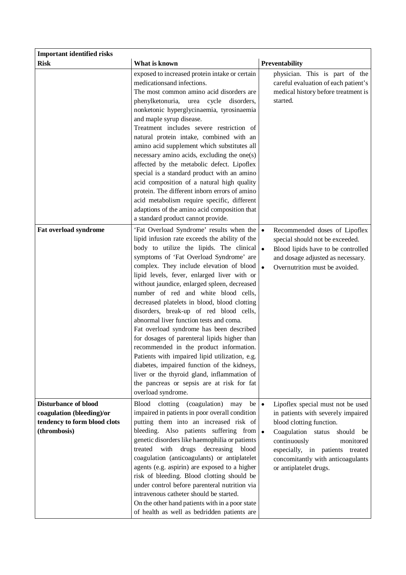| <b>Important identified risks</b>                                                                        |                                                                                                                                                                                                                                                                                                                                                                                                                                                                                                                                                                                                                                                                                                                                                                                                                                                                                         |                                                                                                                                                                                                                                                                       |
|----------------------------------------------------------------------------------------------------------|-----------------------------------------------------------------------------------------------------------------------------------------------------------------------------------------------------------------------------------------------------------------------------------------------------------------------------------------------------------------------------------------------------------------------------------------------------------------------------------------------------------------------------------------------------------------------------------------------------------------------------------------------------------------------------------------------------------------------------------------------------------------------------------------------------------------------------------------------------------------------------------------|-----------------------------------------------------------------------------------------------------------------------------------------------------------------------------------------------------------------------------------------------------------------------|
| <b>Risk</b>                                                                                              | What is known                                                                                                                                                                                                                                                                                                                                                                                                                                                                                                                                                                                                                                                                                                                                                                                                                                                                           | Preventability                                                                                                                                                                                                                                                        |
|                                                                                                          | exposed to increased protein intake or certain<br>medications and infections.<br>The most common amino acid disorders are<br>phenylketonuria,<br>urea cycle<br>disorders,<br>nonketonic hyperglycinaemia, tyrosinaemia<br>and maple syrup disease.<br>Treatment includes severe restriction of<br>natural protein intake, combined with an<br>amino acid supplement which substitutes all<br>necessary amino acids, excluding the one(s)<br>affected by the metabolic defect. Lipoflex<br>special is a standard product with an amino<br>acid composition of a natural high quality<br>protein. The different inborn errors of amino<br>acid metabolism require specific, different<br>adaptions of the amino acid composition that<br>a standard product cannot provide.                                                                                                               | physician. This is part of the<br>careful evaluation of each patient's<br>medical history before treatment is<br>started.                                                                                                                                             |
| Fat overload syndrome                                                                                    | 'Fat Overload Syndrome' results when the $\cdot$<br>lipid infusion rate exceeds the ability of the<br>body to utilize the lipids. The clinical $\bullet$<br>symptoms of 'Fat Overload Syndrome' are<br>complex. They include elevation of blood<br>lipid levels, fever, enlarged liver with or<br>without jaundice, enlarged spleen, decreased<br>number of red and white blood cells,<br>decreased platelets in blood, blood clotting<br>disorders, break-up of red blood cells,<br>abnormal liver function tests and coma.<br>Fat overload syndrome has been described<br>for dosages of parenteral lipids higher than<br>recommended in the product information.<br>Patients with impaired lipid utilization, e.g.<br>diabetes, impaired function of the kidneys,<br>liver or the thyroid gland, inflammation of<br>the pancreas or sepsis are at risk for fat<br>overload syndrome. | Recommended doses of Lipoflex<br>special should not be exceeded.<br>Blood lipids have to be controlled<br>and dosage adjusted as necessary.<br>Overnutrition must be avoided.                                                                                         |
| <b>Disturbance of blood</b><br>coagulation (bleeding)/or<br>tendency to form blood clots<br>(thrombosis) | Blood clotting (coagulation)<br>$be \bullet$<br>may<br>impaired in patients in poor overall condition<br>putting them into an increased risk of<br>bleeding. Also patients suffering from $\bullet$<br>genetic disorders like haemophilia or patients<br>drugs decreasing<br>treated<br>with<br>blood<br>coagulation (anticoagulants) or antiplatelet<br>agents (e.g. aspirin) are exposed to a higher<br>risk of bleeding. Blood clotting should be<br>under control before parenteral nutrition via<br>intravenous catheter should be started.<br>On the other hand patients with in a poor state<br>of health as well as bedridden patients are                                                                                                                                                                                                                                      | Lipoflex special must not be used<br>in patients with severely impaired<br>blood clotting function.<br>Coagulation status should<br>be<br>continuously<br>monitored<br>especially, in patients treated<br>concomitantly with anticoagulants<br>or antiplatelet drugs. |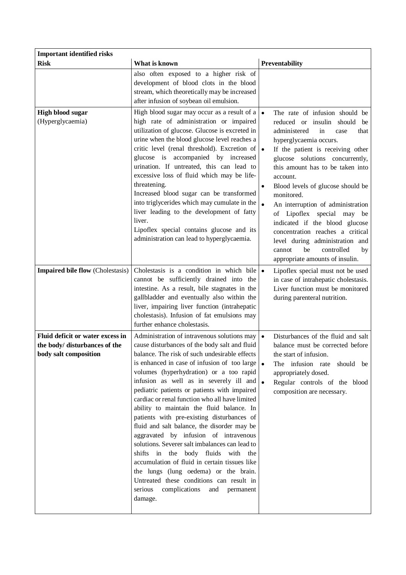| <b>Important identified risks</b>                                                          |                                                                                                                                                                                                                                                                                                                                                                                                                                                                                                                                                                                                                                                                                                                                                                                                                                                                                       |                                                                                                                                                                                                                                                                                                                                                                                                                                                                                                                                                                 |
|--------------------------------------------------------------------------------------------|---------------------------------------------------------------------------------------------------------------------------------------------------------------------------------------------------------------------------------------------------------------------------------------------------------------------------------------------------------------------------------------------------------------------------------------------------------------------------------------------------------------------------------------------------------------------------------------------------------------------------------------------------------------------------------------------------------------------------------------------------------------------------------------------------------------------------------------------------------------------------------------|-----------------------------------------------------------------------------------------------------------------------------------------------------------------------------------------------------------------------------------------------------------------------------------------------------------------------------------------------------------------------------------------------------------------------------------------------------------------------------------------------------------------------------------------------------------------|
| <b>Risk</b>                                                                                | What is known                                                                                                                                                                                                                                                                                                                                                                                                                                                                                                                                                                                                                                                                                                                                                                                                                                                                         | Preventability                                                                                                                                                                                                                                                                                                                                                                                                                                                                                                                                                  |
|                                                                                            | also often exposed to a higher risk of<br>development of blood clots in the blood<br>stream, which theoretically may be increased<br>after infusion of soybean oil emulsion.                                                                                                                                                                                                                                                                                                                                                                                                                                                                                                                                                                                                                                                                                                          |                                                                                                                                                                                                                                                                                                                                                                                                                                                                                                                                                                 |
| <b>High blood sugar</b><br>(Hyperglycaemia)                                                | High blood sugar may occur as a result of a<br>high rate of administration or impaired<br>utilization of glucose. Glucose is excreted in<br>urine when the blood glucose level reaches a<br>critic level (renal threshold). Excretion of $\bullet$<br>glucose is accompanied by increased<br>urination. If untreated, this can lead to<br>excessive loss of fluid which may be life-<br>threatening.<br>Increased blood sugar can be transformed<br>into triglycerides which may cumulate in the<br>liver leading to the development of fatty<br>liver.<br>Lipoflex special contains glucose and its<br>administration can lead to hyperglycaemia.                                                                                                                                                                                                                                    | The rate of infusion should be<br>reduced or insulin should<br>be<br>administered<br>in<br>that<br>case<br>hyperglycaemia occurs.<br>If the patient is receiving other<br>glucose solutions concurrently,<br>this amount has to be taken into<br>account.<br>Blood levels of glucose should be<br>monitored.<br>An interruption of administration<br>of Lipoflex special may be<br>indicated if the blood glucose<br>concentration reaches a critical<br>level during administration and<br>be<br>controlled<br>cannot<br>by<br>appropriate amounts of insulin. |
| <b>Impaired bile flow (Cholestasis)</b>                                                    | Cholestasis is a condition in which bile $\bullet$<br>cannot be sufficiently drained into the<br>intestine. As a result, bile stagnates in the<br>gallbladder and eventually also within the<br>liver, impairing liver function (intrahepatic<br>cholestasis). Infusion of fat emulsions may<br>further enhance cholestasis.                                                                                                                                                                                                                                                                                                                                                                                                                                                                                                                                                          | Lipoflex special must not be used<br>in case of intrahepatic cholestasis.<br>Liver function must be monitored<br>during parenteral nutrition.                                                                                                                                                                                                                                                                                                                                                                                                                   |
| Fluid deficit or water excess in<br>the body/ disturbances of the<br>body salt composition | Administration of intravenous solutions may<br>cause disturbances of the body salt and fluid<br>balance. The risk of such undesirable effects<br>is enhanced in case of infusion of too large $\bullet$<br>volumes (hyperhydration) or a too rapid<br>infusion as well as in severely ill and $\bullet$<br>pediatric patients or patients with impaired<br>cardiac or renal function who all have limited<br>ability to maintain the fluid balance. In<br>patients with pre-existing disturbances of<br>fluid and salt balance, the disorder may be<br>aggravated by infusion of intravenous<br>solutions. Severer salt imbalances can lead to<br>shifts in the body fluids with the<br>accumulation of fluid in certain tissues like<br>the lungs (lung oedema) or the brain.<br>Untreated these conditions can result in<br>serious<br>complications<br>and<br>permanent<br>damage. | Disturbances of the fluid and salt<br>balance must be corrected before<br>the start of infusion.<br>The infusion rate should be<br>appropriately dosed.<br>Regular controls of the blood<br>composition are necessary.                                                                                                                                                                                                                                                                                                                                          |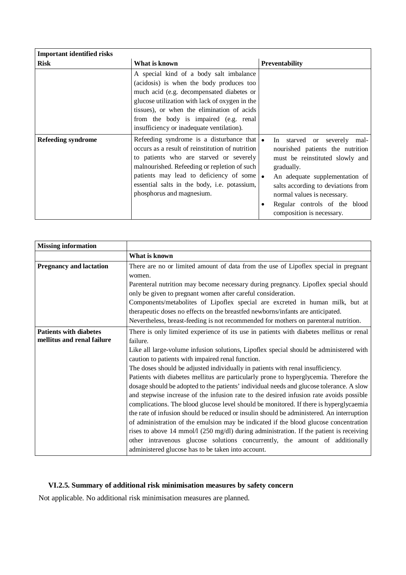| <b>Important identified risks</b> |                                                                                                                                                                                                                                                                                                                                     |                                                                                                                                                                                                                                                                                       |
|-----------------------------------|-------------------------------------------------------------------------------------------------------------------------------------------------------------------------------------------------------------------------------------------------------------------------------------------------------------------------------------|---------------------------------------------------------------------------------------------------------------------------------------------------------------------------------------------------------------------------------------------------------------------------------------|
| <b>Risk</b>                       | What is known                                                                                                                                                                                                                                                                                                                       | <b>Preventability</b>                                                                                                                                                                                                                                                                 |
|                                   | A special kind of a body salt imbalance<br>(acidosis) is when the body produces too<br>much acid (e.g. decompensated diabetes or<br>glucose utilization with lack of oxygen in the<br>tissues), or when the elimination of acids<br>from the body is impaired (e.g. renal<br>insufficiency or inadequate ventilation).              |                                                                                                                                                                                                                                                                                       |
| Refeeding syndrome                | Refeeding syndrome is a disturbance that $\bullet$<br>occurs as a result of reinstitution of nutrition<br>to patients who are starved or severely<br>malnourished. Refeeding or repletion of such<br>patients may lead to deficiency of some $\bullet$<br>essential salts in the body, i.e. potassium,<br>phosphorus and magnesium. | In starved or severely mal-<br>nourished patients the nutrition<br>must be reinstituted slowly and<br>gradually.<br>An adequate supplementation of<br>salts according to deviations from<br>normal values is necessary.<br>Regular controls of the blood<br>composition is necessary. |

| <b>Missing information</b>     |                                                                                                   |
|--------------------------------|---------------------------------------------------------------------------------------------------|
|                                | What is known                                                                                     |
| <b>Pregnancy and lactation</b> | There are no or limited amount of data from the use of Lipoflex special in pregnant               |
|                                | women.                                                                                            |
|                                | Parenteral nutrition may become necessary during pregnancy. Lipoflex special should               |
|                                | only be given to pregnant women after careful consideration.                                      |
|                                | Components/metabolites of Lipoflex special are excreted in human milk, but at                     |
|                                | therapeutic doses no effects on the breastfed newborns/infants are anticipated.                   |
|                                | Nevertheless, breast-feeding is not recommended for mothers on parenteral nutrition.              |
| <b>Patients with diabetes</b>  | There is only limited experience of its use in patients with diabetes mellitus or renal           |
| mellitus and renal failure     | failure.                                                                                          |
|                                | Like all large-volume infusion solutions, Lipoflex special should be administered with            |
|                                | caution to patients with impaired renal function.                                                 |
|                                | The doses should be adjusted individually in patients with renal insufficiency.                   |
|                                | Patients with diabetes mellitus are particularly prone to hyperglycemia. Therefore the            |
|                                | dosage should be adopted to the patients' individual needs and glucose tolerance. A slow          |
|                                | and stepwise increase of the infusion rate to the desired infusion rate avoids possible           |
|                                | complications. The blood glucose level should be monitored. If there is hyperglycaemia            |
|                                | the rate of infusion should be reduced or insulin should be administered. An interruption         |
|                                | of administration of the emulsion may be indicated if the blood glucose concentration             |
|                                | rises to above 14 mmol/ $1(250 \text{ mg/dl})$ during administration. If the patient is receiving |
|                                | other intravenous glucose solutions concurrently, the amount of additionally                      |
|                                | administered glucose has to be taken into account.                                                |

# **VI.2.5. Summary of additional risk minimisation measures by safety concern**

Not applicable. No additional risk minimisation measures are planned.